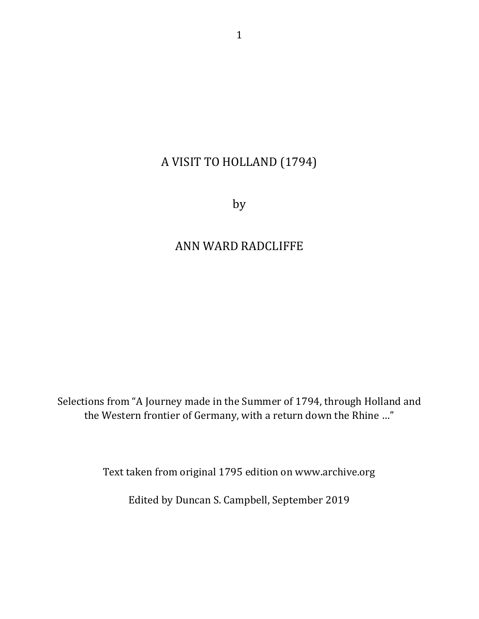# A VISIT TO HOLLAND (1794)

by

### ANN WARD RADCLIFFE

Selections from "A Journey made in the Summer of 1794, through Holland and the Western frontier of Germany, with a return down the Rhine ..."

Text taken from original 1795 edition on www.archive.org

Edited by Duncan S. Campbell, September 2019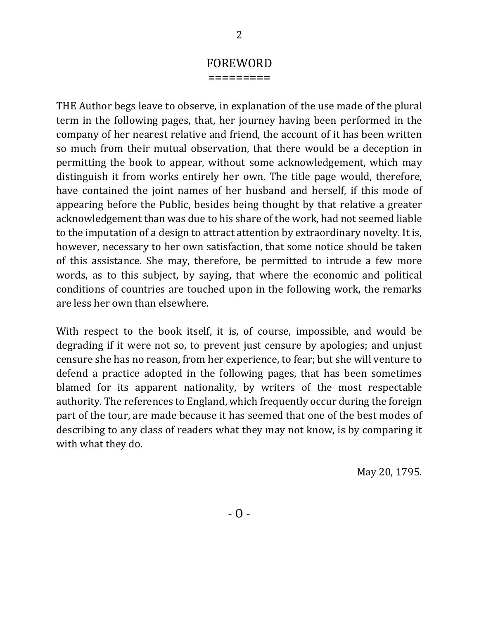### FOREWORD

=========

THE Author begs leave to observe, in explanation of the use made of the plural term in the following pages, that, her journey having been performed in the company of her nearest relative and friend, the account of it has been written so much from their mutual observation, that there would be a deception in permitting the book to appear, without some acknowledgement, which may distinguish it from works entirely her own. The title page would, therefore, have contained the joint names of her husband and herself, if this mode of appearing before the Public, besides being thought by that relative a greater acknowledgement than was due to his share of the work, had not seemed liable to the imputation of a design to attract attention by extraordinary novelty. It is, however, necessary to her own satisfaction, that some notice should be taken of this assistance. She may, therefore, be permitted to intrude a few more words, as to this subject, by saying, that where the economic and political conditions of countries are touched upon in the following work, the remarks are less her own than elsewhere.

With respect to the book itself, it is, of course, impossible, and would be degrading if it were not so, to prevent just censure by apologies; and unjust censure she has no reason, from her experience, to fear; but she will venture to defend a practice adopted in the following pages, that has been sometimes blamed for its apparent nationality, by writers of the most respectable authority. The references to England, which frequently occur during the foreign part of the tour, are made because it has seemed that one of the best modes of describing to any class of readers what they may not know, is by comparing it with what they do.

May 20, 1795.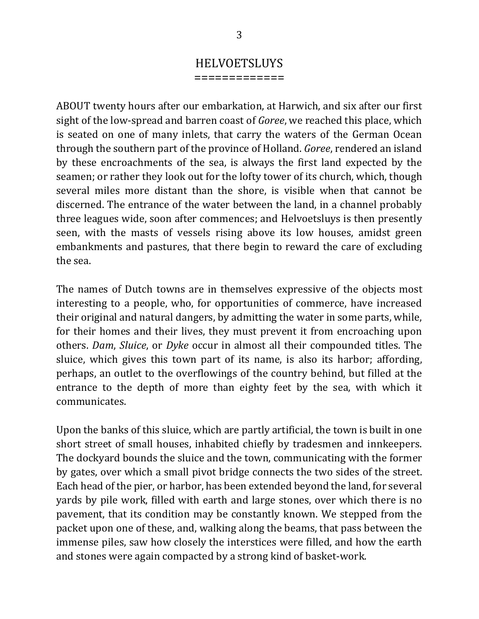## **HELVOETSLUYS**

=============

ABOUT twenty hours after our embarkation, at Harwich, and six after our first sight of the low-spread and barren coast of *Goree*, we reached this place, which is seated on one of many inlets, that carry the waters of the German Ocean through the southern part of the province of Holland. *Goree*, rendered an island by these encroachments of the sea, is always the first land expected by the seamen; or rather they look out for the lofty tower of its church, which, though several miles more distant than the shore, is visible when that cannot be discerned. The entrance of the water between the land, in a channel probably three leagues wide, soon after commences; and Helvoetsluys is then presently seen, with the masts of vessels rising above its low houses, amidst green embankments and pastures, that there begin to reward the care of excluding the sea.

The names of Dutch towns are in themselves expressive of the objects most interesting to a people, who, for opportunities of commerce, have increased their original and natural dangers, by admitting the water in some parts, while, for their homes and their lives, they must prevent it from encroaching upon others. *Dam, Sluice,* or *Dyke* occur in almost all their compounded titles. The sluice, which gives this town part of its name, is also its harbor; affording, perhaps, an outlet to the overflowings of the country behind, but filled at the entrance to the depth of more than eighty feet by the sea, with which it communicates. 

Upon the banks of this sluice, which are partly artificial, the town is built in one short street of small houses, inhabited chiefly by tradesmen and innkeepers. The dockyard bounds the sluice and the town, communicating with the former by gates, over which a small pivot bridge connects the two sides of the street. Each head of the pier, or harbor, has been extended beyond the land, for several yards by pile work, filled with earth and large stones, over which there is no pavement, that its condition may be constantly known. We stepped from the packet upon one of these, and, walking along the beams, that pass between the immense piles, saw how closely the interstices were filled, and how the earth and stones were again compacted by a strong kind of basket-work.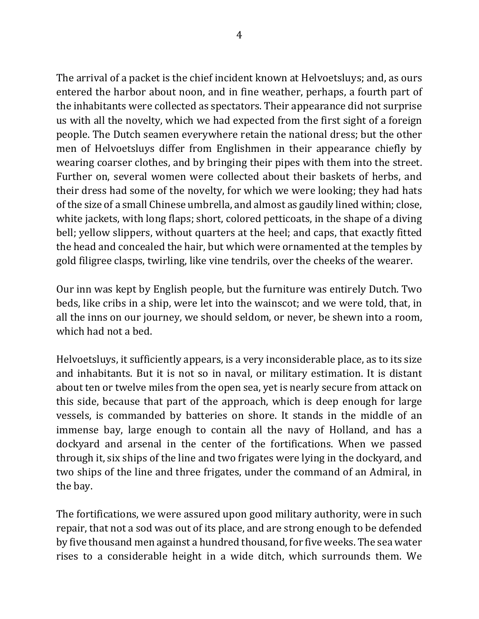The arrival of a packet is the chief incident known at Helvoetsluys; and, as ours entered the harbor about noon, and in fine weather, perhaps, a fourth part of the inhabitants were collected as spectators. Their appearance did not surprise us with all the novelty, which we had expected from the first sight of a foreign people. The Dutch seamen everywhere retain the national dress; but the other men of Helvoetsluys differ from Englishmen in their appearance chiefly by wearing coarser clothes, and by bringing their pipes with them into the street. Further on, several women were collected about their baskets of herbs, and their dress had some of the novelty, for which we were looking; they had hats of the size of a small Chinese umbrella, and almost as gaudily lined within; close, white jackets, with long flaps; short, colored petticoats, in the shape of a diving bell; yellow slippers, without quarters at the heel; and caps, that exactly fitted the head and concealed the hair, but which were ornamented at the temples by gold filigree clasps, twirling, like vine tendrils, over the cheeks of the wearer.

Our inn was kept by English people, but the furniture was entirely Dutch. Two beds, like cribs in a ship, were let into the wainscot; and we were told, that, in all the inns on our journey, we should seldom, or never, be shewn into a room, which had not a bed.

Helvoetsluys, it sufficiently appears, is a very inconsiderable place, as to its size and inhabitants. But it is not so in naval, or military estimation. It is distant about ten or twelve miles from the open sea, yet is nearly secure from attack on this side, because that part of the approach, which is deep enough for large vessels, is commanded by batteries on shore. It stands in the middle of an immense bay, large enough to contain all the navy of Holland, and has a dockyard and arsenal in the center of the fortifications. When we passed through it, six ships of the line and two frigates were lying in the dockyard, and two ships of the line and three frigates, under the command of an Admiral, in the bay.

The fortifications, we were assured upon good military authority, were in such repair, that not a sod was out of its place, and are strong enough to be defended by five thousand men against a hundred thousand, for five weeks. The sea water rises to a considerable height in a wide ditch, which surrounds them. We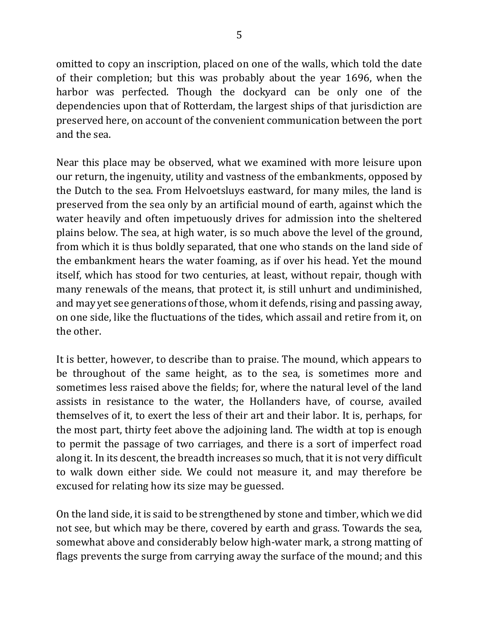omitted to copy an inscription, placed on one of the walls, which told the date of their completion; but this was probably about the year 1696, when the harbor was perfected. Though the dockyard can be only one of the dependencies upon that of Rotterdam, the largest ships of that jurisdiction are preserved here, on account of the convenient communication between the port and the sea.

Near this place may be observed, what we examined with more leisure upon our return, the ingenuity, utility and vastness of the embankments, opposed by the Dutch to the sea. From Helvoetsluys eastward, for many miles, the land is preserved from the sea only by an artificial mound of earth, against which the water heavily and often impetuously drives for admission into the sheltered plains below. The sea, at high water, is so much above the level of the ground, from which it is thus boldly separated, that one who stands on the land side of the embankment hears the water foaming, as if over his head. Yet the mound itself, which has stood for two centuries, at least, without repair, though with many renewals of the means, that protect it, is still unhurt and undiminished, and may yet see generations of those, whom it defends, rising and passing away, on one side, like the fluctuations of the tides, which assail and retire from it, on the other.

It is better, however, to describe than to praise. The mound, which appears to be throughout of the same height, as to the sea, is sometimes more and sometimes less raised above the fields; for, where the natural level of the land assists in resistance to the water, the Hollanders have, of course, availed themselves of it, to exert the less of their art and their labor. It is, perhaps, for the most part, thirty feet above the adjoining land. The width at top is enough to permit the passage of two carriages, and there is a sort of imperfect road along it. In its descent, the breadth increases so much, that it is not very difficult to walk down either side. We could not measure it, and may therefore be excused for relating how its size may be guessed.

On the land side, it is said to be strengthened by stone and timber, which we did not see, but which may be there, covered by earth and grass. Towards the sea, somewhat above and considerably below high-water mark, a strong matting of flags prevents the surge from carrying away the surface of the mound; and this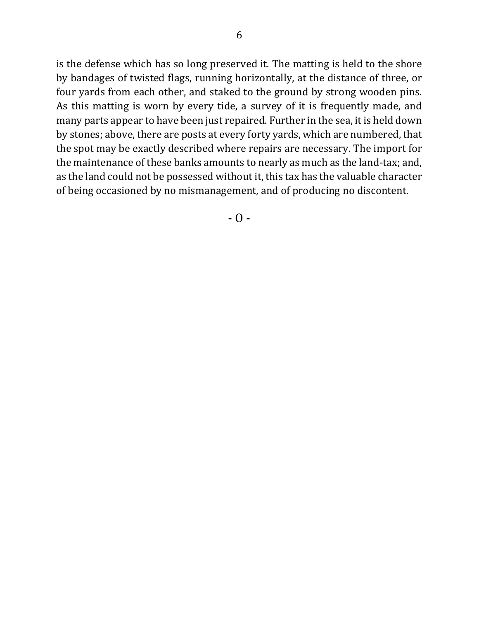is the defense which has so long preserved it. The matting is held to the shore by bandages of twisted flags, running horizontally, at the distance of three, or four yards from each other, and staked to the ground by strong wooden pins. As this matting is worn by every tide, a survey of it is frequently made, and many parts appear to have been just repaired. Further in the sea, it is held down by stones; above, there are posts at every forty yards, which are numbered, that the spot may be exactly described where repairs are necessary. The import for the maintenance of these banks amounts to nearly as much as the land-tax; and, as the land could not be possessed without it, this tax has the valuable character of being occasioned by no mismanagement, and of producing no discontent.

 $-$  O  $-$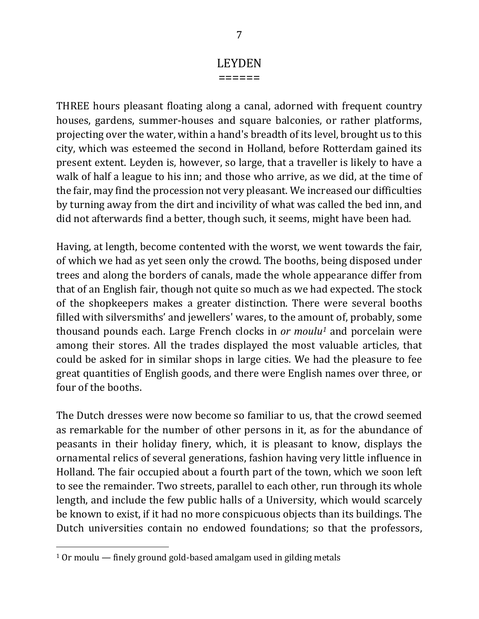# LEYDEN

======

THREE hours pleasant floating along a canal, adorned with frequent country houses, gardens, summer-houses and square balconies, or rather platforms, projecting over the water, within a hand's breadth of its level, brought us to this city, which was esteemed the second in Holland, before Rotterdam gained its present extent. Leyden is, however, so large, that a traveller is likely to have a walk of half a league to his inn; and those who arrive, as we did, at the time of the fair, may find the procession not very pleasant. We increased our difficulties by turning away from the dirt and incivility of what was called the bed inn, and did not afterwards find a better, though such, it seems, might have been had.

Having, at length, become contented with the worst, we went towards the fair, of which we had as yet seen only the crowd. The booths, being disposed under trees and along the borders of canals, made the whole appearance differ from that of an English fair, though not quite so much as we had expected. The stock of the shopkeepers makes a greater distinction. There were several booths filled with silversmiths' and jewellers' wares, to the amount of, probably, some thousand pounds each. Large French clocks in *or moulu<sup>1</sup>* and porcelain were among their stores. All the trades displayed the most valuable articles, that could be asked for in similar shops in large cities. We had the pleasure to fee great quantities of English goods, and there were English names over three, or four of the booths.

The Dutch dresses were now become so familiar to us, that the crowd seemed as remarkable for the number of other persons in it, as for the abundance of peasants in their holiday finery, which, it is pleasant to know, displays the ornamental relics of several generations, fashion having very little influence in Holland. The fair occupied about a fourth part of the town, which we soon left to see the remainder. Two streets, parallel to each other, run through its whole length, and include the few public halls of a University, which would scarcely be known to exist, if it had no more conspicuous objects than its buildings. The Dutch universities contain no endowed foundations; so that the professors,

 $10r$  moulu  $-$  finely ground gold-based amalgam used in gilding metals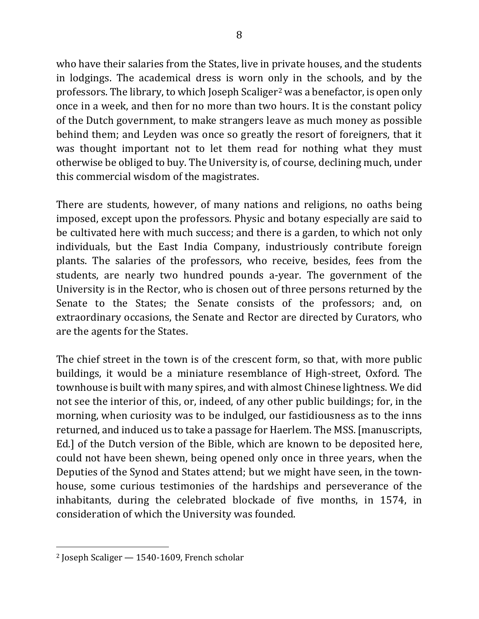who have their salaries from the States, live in private houses, and the students in lodgings. The academical dress is worn only in the schools, and by the professors. The library, to which Joseph Scaliger<sup>2</sup> was a benefactor, is open only once in a week, and then for no more than two hours. It is the constant policy of the Dutch government, to make strangers leave as much money as possible behind them; and Leyden was once so greatly the resort of foreigners, that it was thought important not to let them read for nothing what they must otherwise be obliged to buy. The University is, of course, declining much, under this commercial wisdom of the magistrates.

There are students, however, of many nations and religions, no oaths being imposed, except upon the professors. Physic and botany especially are said to be cultivated here with much success; and there is a garden, to which not only individuals, but the East India Company, industriously contribute foreign plants. The salaries of the professors, who receive, besides, fees from the students, are nearly two hundred pounds a-year. The government of the University is in the Rector, who is chosen out of three persons returned by the Senate to the States; the Senate consists of the professors; and, on extraordinary occasions, the Senate and Rector are directed by Curators, who are the agents for the States.

The chief street in the town is of the crescent form, so that, with more public buildings, it would be a miniature resemblance of High-street, Oxford. The townhouse is built with many spires, and with almost Chinese lightness. We did not see the interior of this, or, indeed, of any other public buildings; for, in the morning, when curiosity was to be indulged, our fastidiousness as to the inns returned, and induced us to take a passage for Haerlem. The MSS. [manuscripts, Ed.] of the Dutch version of the Bible, which are known to be deposited here, could not have been shewn, being opened only once in three years, when the Deputies of the Synod and States attend; but we might have seen, in the townhouse, some curious testimonies of the hardships and perseverance of the inhabitants, during the celebrated blockade of five months, in 1574, in consideration of which the University was founded.

 $2$  Joseph Scaliger  $-1540-1609$ , French scholar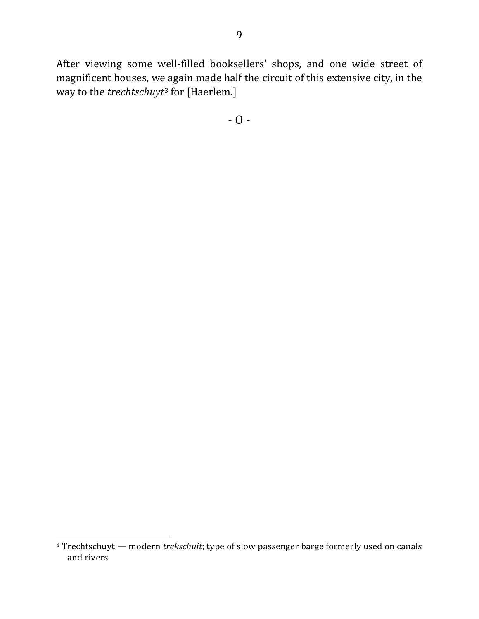After viewing some well-filled booksellers' shops, and one wide street of magnificent houses, we again made half the circuit of this extensive city, in the way to the *trechtschuyt*<sup>3</sup> for [Haerlem.]

 $-$  O  $-$ 

<sup>&</sup>lt;sup>3</sup> Trechtschuyt — modern *trekschuit*; type of slow passenger barge formerly used on canals and rivers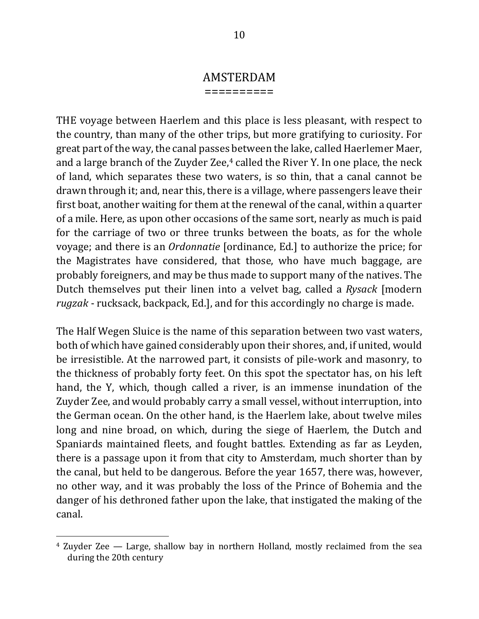#### AMSTERDAM

==========

THE voyage between Haerlem and this place is less pleasant, with respect to the country, than many of the other trips, but more gratifying to curiosity. For great part of the way, the canal passes between the lake, called Haerlemer Maer, and a large branch of the Zuyder Zee, $4$  called the River Y. In one place, the neck of land, which separates these two waters, is so thin, that a canal cannot be drawn through it; and, near this, there is a village, where passengers leave their first boat, another waiting for them at the renewal of the canal, within a quarter of a mile. Here, as upon other occasions of the same sort, nearly as much is paid for the carriage of two or three trunks between the boats, as for the whole voyage; and there is an *Ordonnatie* [ordinance, Ed.] to authorize the price; for the Magistrates have considered, that those, who have much baggage, are probably foreigners, and may be thus made to support many of the natives. The Dutch themselves put their linen into a velvet bag, called a *Rysack* [modern] *rugzak* - rucksack, backpack, Ed.], and for this accordingly no charge is made.

The Half Wegen Sluice is the name of this separation between two vast waters, both of which have gained considerably upon their shores, and, if united, would be irresistible. At the narrowed part, it consists of pile-work and masonry, to the thickness of probably forty feet. On this spot the spectator has, on his left hand, the Y, which, though called a river, is an immense inundation of the Zuyder Zee, and would probably carry a small vessel, without interruption, into the German ocean. On the other hand, is the Haerlem lake, about twelve miles long and nine broad, on which, during the siege of Haerlem, the Dutch and Spaniards maintained fleets, and fought battles. Extending as far as Leyden, there is a passage upon it from that city to Amsterdam, much shorter than by the canal, but held to be dangerous. Before the year 1657, there was, however, no other way, and it was probably the loss of the Prince of Bohemia and the danger of his dethroned father upon the lake, that instigated the making of the canal. 

 $4$  Zuyder Zee  $-$  Large, shallow bay in northern Holland, mostly reclaimed from the sea during the 20th century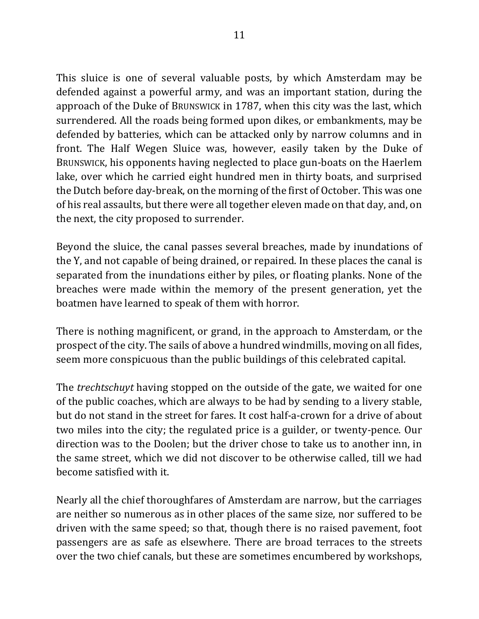This sluice is one of several valuable posts, by which Amsterdam may be defended against a powerful army, and was an important station, during the approach of the Duke of BRUNSWICK in 1787, when this city was the last, which surrendered. All the roads being formed upon dikes, or embankments, may be defended by batteries, which can be attacked only by narrow columns and in front. The Half Wegen Sluice was, however, easily taken by the Duke of BRUNSWICK, his opponents having neglected to place gun-boats on the Haerlem lake, over which he carried eight hundred men in thirty boats, and surprised the Dutch before day-break, on the morning of the first of October. This was one of his real assaults, but there were all together eleven made on that day, and, on the next, the city proposed to surrender.

Beyond the sluice, the canal passes several breaches, made by inundations of the Y, and not capable of being drained, or repaired. In these places the canal is separated from the inundations either by piles, or floating planks. None of the breaches were made within the memory of the present generation, yet the boatmen have learned to speak of them with horror.

There is nothing magnificent, or grand, in the approach to Amsterdam, or the prospect of the city. The sails of above a hundred windmills, moving on all fides, seem more conspicuous than the public buildings of this celebrated capital.

The *trechtschuyt* having stopped on the outside of the gate, we waited for one of the public coaches, which are always to be had by sending to a livery stable, but do not stand in the street for fares. It cost half-a-crown for a drive of about two miles into the city; the regulated price is a guilder, or twenty-pence. Our direction was to the Doolen; but the driver chose to take us to another inn, in the same street, which we did not discover to be otherwise called, till we had become satisfied with it.

Nearly all the chief thoroughfares of Amsterdam are narrow, but the carriages are neither so numerous as in other places of the same size, nor suffered to be driven with the same speed; so that, though there is no raised pavement, foot passengers are as safe as elsewhere. There are broad terraces to the streets over the two chief canals, but these are sometimes encumbered by workshops,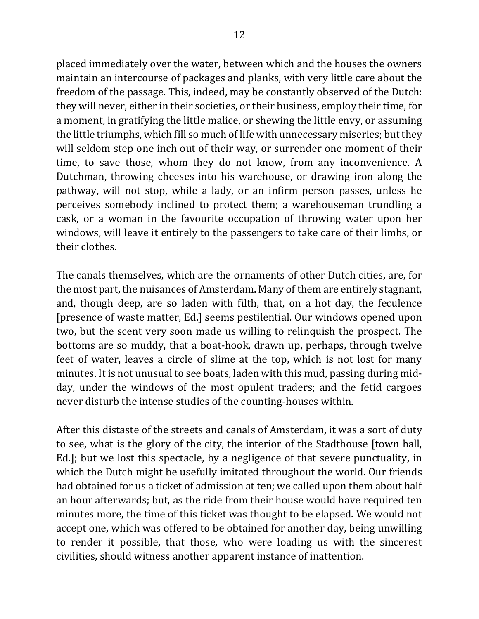placed immediately over the water, between which and the houses the owners maintain an intercourse of packages and planks, with very little care about the freedom of the passage. This, indeed, may be constantly observed of the Dutch: they will never, either in their societies, or their business, employ their time, for a moment, in gratifying the little malice, or shewing the little envy, or assuming the little triumphs, which fill so much of life with unnecessary miseries; but they will seldom step one inch out of their way, or surrender one moment of their time, to save those, whom they do not know, from any inconvenience. A Dutchman, throwing cheeses into his warehouse, or drawing iron along the pathway, will not stop, while a lady, or an infirm person passes, unless he perceives somebody inclined to protect them; a warehouseman trundling a cask, or a woman in the favourite occupation of throwing water upon her windows, will leave it entirely to the passengers to take care of their limbs, or their clothes.

The canals themselves, which are the ornaments of other Dutch cities, are, for the most part, the nuisances of Amsterdam. Many of them are entirely stagnant, and, though deep, are so laden with filth, that, on a hot day, the feculence [presence of waste matter, Ed.] seems pestilential. Our windows opened upon two, but the scent very soon made us willing to relinquish the prospect. The bottoms are so muddy, that a boat-hook, drawn up, perhaps, through twelve feet of water, leaves a circle of slime at the top, which is not lost for many minutes. It is not unusual to see boats, laden with this mud, passing during midday, under the windows of the most opulent traders; and the fetid cargoes never disturb the intense studies of the counting-houses within.

After this distaste of the streets and canals of Amsterdam, it was a sort of duty to see, what is the glory of the city, the interior of the Stadthouse [town hall, Ed.]; but we lost this spectacle, by a negligence of that severe punctuality, in which the Dutch might be usefully imitated throughout the world. Our friends had obtained for us a ticket of admission at ten; we called upon them about half an hour afterwards; but, as the ride from their house would have required ten minutes more, the time of this ticket was thought to be elapsed. We would not accept one, which was offered to be obtained for another day, being unwilling to render it possible, that those, who were loading us with the sincerest civilities, should witness another apparent instance of inattention.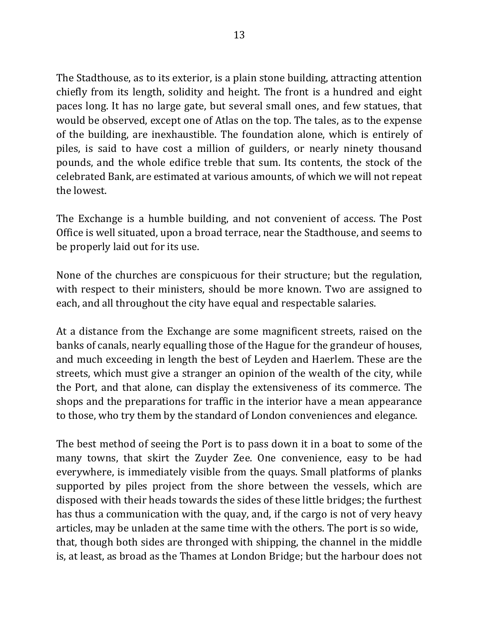The Stadthouse, as to its exterior, is a plain stone building, attracting attention chiefly from its length, solidity and height. The front is a hundred and eight paces long. It has no large gate, but several small ones, and few statues, that would be observed, except one of Atlas on the top. The tales, as to the expense of the building, are inexhaustible. The foundation alone, which is entirely of piles, is said to have cost a million of guilders, or nearly ninety thousand pounds, and the whole edifice treble that sum. Its contents, the stock of the celebrated Bank, are estimated at various amounts, of which we will not repeat the lowest.

The Exchange is a humble building, and not convenient of access. The Post Office is well situated, upon a broad terrace, near the Stadthouse, and seems to be properly laid out for its use.

None of the churches are conspicuous for their structure; but the regulation, with respect to their ministers, should be more known. Two are assigned to each, and all throughout the city have equal and respectable salaries.

At a distance from the Exchange are some magnificent streets, raised on the banks of canals, nearly equalling those of the Hague for the grandeur of houses, and much exceeding in length the best of Leyden and Haerlem. These are the streets, which must give a stranger an opinion of the wealth of the city, while the Port, and that alone, can display the extensiveness of its commerce. The shops and the preparations for traffic in the interior have a mean appearance to those, who try them by the standard of London conveniences and elegance.

The best method of seeing the Port is to pass down it in a boat to some of the many towns, that skirt the Zuyder Zee. One convenience, easy to be had everywhere, is immediately visible from the quays. Small platforms of planks supported by piles project from the shore between the vessels, which are disposed with their heads towards the sides of these little bridges; the furthest has thus a communication with the quay, and, if the cargo is not of very heavy articles, may be unladen at the same time with the others. The port is so wide, that, though both sides are thronged with shipping, the channel in the middle is, at least, as broad as the Thames at London Bridge; but the harbour does not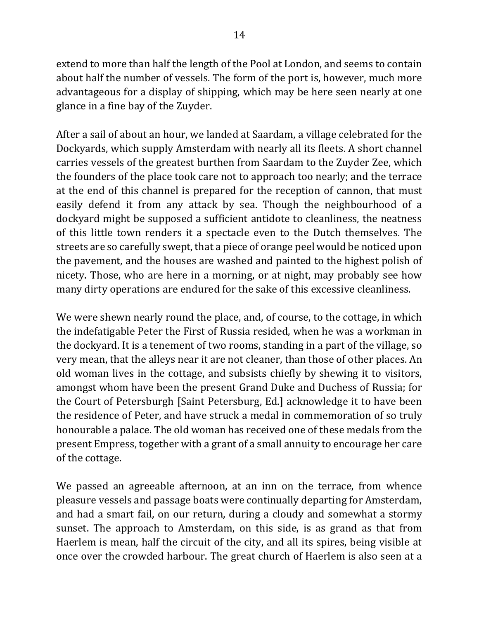extend to more than half the length of the Pool at London, and seems to contain about half the number of vessels. The form of the port is, however, much more advantageous for a display of shipping, which may be here seen nearly at one glance in a fine bay of the Zuyder.

After a sail of about an hour, we landed at Saardam, a village celebrated for the Dockyards, which supply Amsterdam with nearly all its fleets. A short channel carries vessels of the greatest burthen from Saardam to the Zuyder Zee, which the founders of the place took care not to approach too nearly; and the terrace at the end of this channel is prepared for the reception of cannon, that must easily defend it from any attack by sea. Though the neighbourhood of a dockyard might be supposed a sufficient antidote to cleanliness, the neatness of this little town renders it a spectacle even to the Dutch themselves. The streets are so carefully swept, that a piece of orange peel would be noticed upon the pavement, and the houses are washed and painted to the highest polish of nicety. Those, who are here in a morning, or at night, may probably see how many dirty operations are endured for the sake of this excessive cleanliness.

We were shewn nearly round the place, and, of course, to the cottage, in which the indefatigable Peter the First of Russia resided, when he was a workman in the dockyard. It is a tenement of two rooms, standing in a part of the village, so very mean, that the alleys near it are not cleaner, than those of other places. An old woman lives in the cottage, and subsists chiefly by shewing it to visitors, amongst whom have been the present Grand Duke and Duchess of Russia; for the Court of Petersburgh [Saint Petersburg, Ed.] acknowledge it to have been the residence of Peter, and have struck a medal in commemoration of so truly honourable a palace. The old woman has received one of these medals from the present Empress, together with a grant of a small annuity to encourage her care of the cottage.

We passed an agreeable afternoon, at an inn on the terrace, from whence pleasure vessels and passage boats were continually departing for Amsterdam, and had a smart fail, on our return, during a cloudy and somewhat a stormy sunset. The approach to Amsterdam, on this side, is as grand as that from Haerlem is mean, half the circuit of the city, and all its spires, being visible at once over the crowded harbour. The great church of Haerlem is also seen at a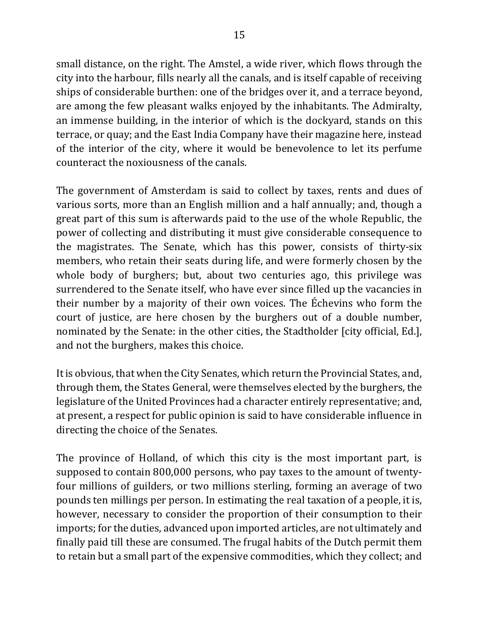small distance, on the right. The Amstel, a wide river, which flows through the city into the harbour, fills nearly all the canals, and is itself capable of receiving ships of considerable burthen: one of the bridges over it, and a terrace beyond, are among the few pleasant walks enjoyed by the inhabitants. The Admiralty, an immense building, in the interior of which is the dockyard, stands on this terrace, or quay; and the East India Company have their magazine here, instead of the interior of the city, where it would be benevolence to let its perfume counteract the noxiousness of the canals.

The government of Amsterdam is said to collect by taxes, rents and dues of various sorts, more than an English million and a half annually; and, though a great part of this sum is afterwards paid to the use of the whole Republic, the power of collecting and distributing it must give considerable consequence to the magistrates. The Senate, which has this power, consists of thirty-six members, who retain their seats during life, and were formerly chosen by the whole body of burghers; but, about two centuries ago, this privilege was surrendered to the Senate itself, who have ever since filled up the vacancies in their number by a majority of their own voices. The Échevins who form the court of justice, are here chosen by the burghers out of a double number, nominated by the Senate: in the other cities, the Stadtholder [city official, Ed.], and not the burghers, makes this choice.

It is obvious, that when the City Senates, which return the Provincial States, and, through them, the States General, were themselves elected by the burghers, the legislature of the United Provinces had a character entirely representative; and, at present, a respect for public opinion is said to have considerable influence in directing the choice of the Senates.

The province of Holland, of which this city is the most important part, is supposed to contain 800,000 persons, who pay taxes to the amount of twentyfour millions of guilders, or two millions sterling, forming an average of two pounds ten millings per person. In estimating the real taxation of a people, it is, however, necessary to consider the proportion of their consumption to their imports; for the duties, advanced upon imported articles, are not ultimately and finally paid till these are consumed. The frugal habits of the Dutch permit them to retain but a small part of the expensive commodities, which they collect; and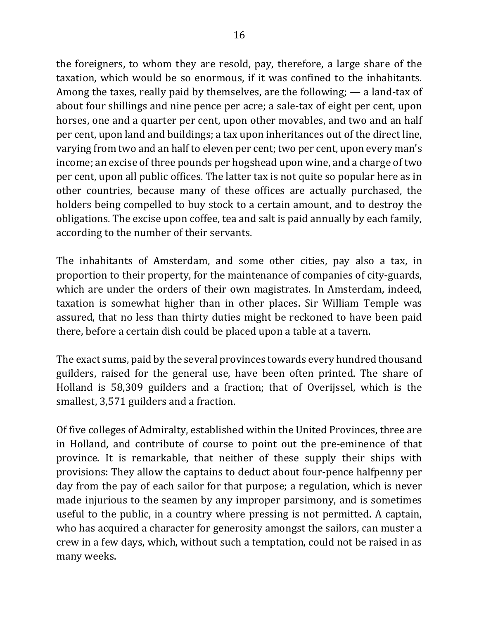the foreigners, to whom they are resold, pay, therefore, a large share of the taxation, which would be so enormous, if it was confined to the inhabitants. Among the taxes, really paid by themselves, are the following;  $-$  a land-tax of about four shillings and nine pence per acre; a sale-tax of eight per cent, upon horses, one and a quarter per cent, upon other movables, and two and an half per cent, upon land and buildings; a tax upon inheritances out of the direct line, varying from two and an half to eleven per cent; two per cent, upon every man's income; an excise of three pounds per hogshead upon wine, and a charge of two per cent, upon all public offices. The latter tax is not quite so popular here as in other countries, because many of these offices are actually purchased, the holders being compelled to buy stock to a certain amount, and to destroy the obligations. The excise upon coffee, tea and salt is paid annually by each family, according to the number of their servants.

The inhabitants of Amsterdam, and some other cities, pay also a tax, in proportion to their property, for the maintenance of companies of city-guards, which are under the orders of their own magistrates. In Amsterdam, indeed, taxation is somewhat higher than in other places. Sir William Temple was assured, that no less than thirty duties might be reckoned to have been paid there, before a certain dish could be placed upon a table at a tavern.

The exact sums, paid by the several provinces towards every hundred thousand guilders, raised for the general use, have been often printed. The share of Holland is 58,309 guilders and a fraction; that of Overijssel, which is the smallest, 3,571 guilders and a fraction.

Of five colleges of Admiralty, established within the United Provinces, three are in Holland, and contribute of course to point out the pre-eminence of that province. It is remarkable, that neither of these supply their ships with provisions: They allow the captains to deduct about four-pence halfpenny per day from the pay of each sailor for that purpose; a regulation, which is never made injurious to the seamen by any improper parsimony, and is sometimes useful to the public, in a country where pressing is not permitted. A captain, who has acquired a character for generosity amongst the sailors, can muster a crew in a few days, which, without such a temptation, could not be raised in as many weeks.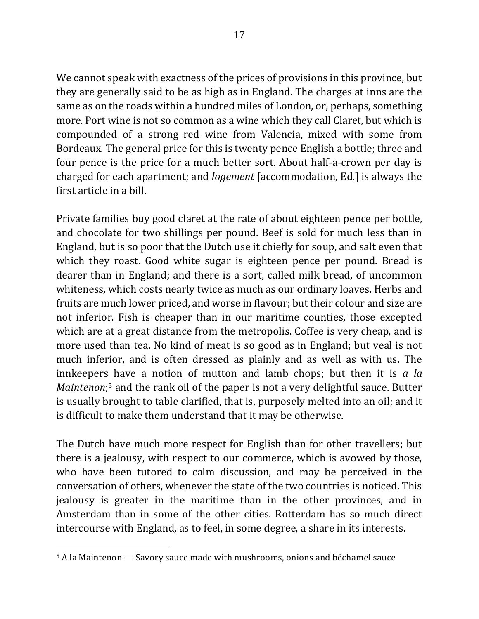We cannot speak with exactness of the prices of provisions in this province, but they are generally said to be as high as in England. The charges at inns are the same as on the roads within a hundred miles of London, or, perhaps, something more. Port wine is not so common as a wine which they call Claret, but which is compounded of a strong red wine from Valencia, mixed with some from Bordeaux. The general price for this is twenty pence English a bottle; three and four pence is the price for a much better sort. About half-a-crown per day is charged for each apartment; and *logement* [accommodation, Ed.] is always the first article in a bill.

Private families buy good claret at the rate of about eighteen pence per bottle, and chocolate for two shillings per pound. Beef is sold for much less than in England, but is so poor that the Dutch use it chiefly for soup, and salt even that which they roast. Good white sugar is eighteen pence per pound. Bread is dearer than in England; and there is a sort, called milk bread, of uncommon whiteness, which costs nearly twice as much as our ordinary loaves. Herbs and fruits are much lower priced, and worse in flavour; but their colour and size are not inferior. Fish is cheaper than in our maritime counties, those excepted which are at a great distance from the metropolis. Coffee is very cheap, and is more used than tea. No kind of meat is so good as in England; but veal is not much inferior, and is often dressed as plainly and as well as with us. The innkeepers have a notion of mutton and lamb chops; but then it is  $a$  *la Maintenon*;<sup>5</sup> and the rank oil of the paper is not a very delightful sauce. Butter is usually brought to table clarified, that is, purposely melted into an oil; and it is difficult to make them understand that it may be otherwise.

The Dutch have much more respect for English than for other travellers; but there is a jealousy, with respect to our commerce, which is avowed by those, who have been tutored to calm discussion, and may be perceived in the conversation of others, whenever the state of the two countries is noticed. This jealousy is greater in the maritime than in the other provinces, and in Amsterdam than in some of the other cities. Rotterdam has so much direct intercourse with England, as to feel, in some degree, a share in its interests.

 $5$  A la Maintenon  $-$  Savory sauce made with mushrooms, onions and béchamel sauce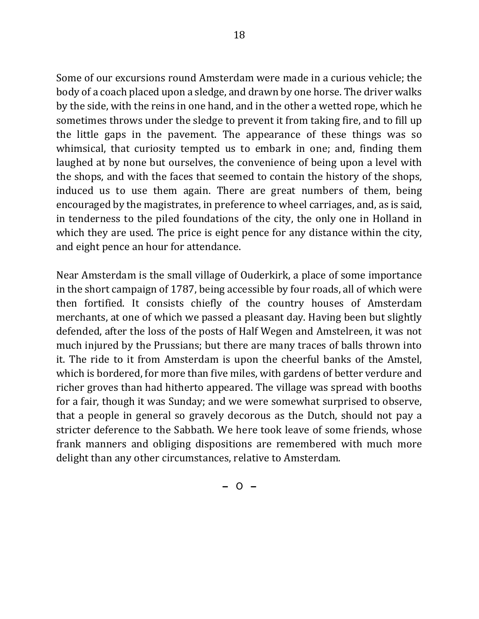Some of our excursions round Amsterdam were made in a curious vehicle; the body of a coach placed upon a sledge, and drawn by one horse. The driver walks by the side, with the reins in one hand, and in the other a wetted rope, which he sometimes throws under the sledge to prevent it from taking fire, and to fill up the little gaps in the pavement. The appearance of these things was so whimsical, that curiosity tempted us to embark in one; and, finding them laughed at by none but ourselves, the convenience of being upon a level with the shops, and with the faces that seemed to contain the history of the shops, induced us to use them again. There are great numbers of them, being encouraged by the magistrates, in preference to wheel carriages, and, as is said, in tenderness to the piled foundations of the city, the only one in Holland in which they are used. The price is eight pence for any distance within the city, and eight pence an hour for attendance.

Near Amsterdam is the small village of Ouderkirk, a place of some importance in the short campaign of 1787, being accessible by four roads, all of which were then fortified. It consists chiefly of the country houses of Amsterdam merchants, at one of which we passed a pleasant day. Having been but slightly defended, after the loss of the posts of Half Wegen and Amstelreen, it was not much injured by the Prussians; but there are many traces of balls thrown into it. The ride to it from Amsterdam is upon the cheerful banks of the Amstel, which is bordered, for more than five miles, with gardens of better verdure and richer groves than had hitherto appeared. The village was spread with booths for a fair, though it was Sunday; and we were somewhat surprised to observe, that a people in general so gravely decorous as the Dutch, should not pay a stricter deference to the Sabbath. We here took leave of some friends, whose frank manners and obliging dispositions are remembered with much more delight than any other circumstances, relative to Amsterdam.

 $-$  O  $-$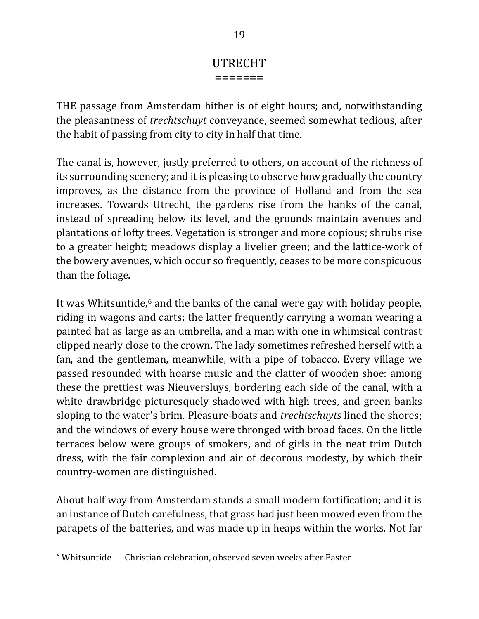### UTRECHT =======

THE passage from Amsterdam hither is of eight hours; and, notwithstanding the pleasantness of *trechtschuyt* conveyance, seemed somewhat tedious, after the habit of passing from city to city in half that time.

The canal is, however, justly preferred to others, on account of the richness of its surrounding scenery; and it is pleasing to observe how gradually the country improves, as the distance from the province of Holland and from the sea increases. Towards Utrecht, the gardens rise from the banks of the canal, instead of spreading below its level, and the grounds maintain avenues and plantations of lofty trees. Vegetation is stronger and more copious; shrubs rise to a greater height; meadows display a livelier green; and the lattice-work of the bowery avenues, which occur so frequently, ceases to be more conspicuous than the foliage.

It was Whitsuntide,<sup>6</sup> and the banks of the canal were gay with holiday people, riding in wagons and carts; the latter frequently carrying a woman wearing a painted hat as large as an umbrella, and a man with one in whimsical contrast clipped nearly close to the crown. The lady sometimes refreshed herself with a fan, and the gentleman, meanwhile, with a pipe of tobacco. Every village we passed resounded with hoarse music and the clatter of wooden shoe: among these the prettiest was Nieuversluys, bordering each side of the canal, with a white drawbridge picturesquely shadowed with high trees, and green banks sloping to the water's brim. Pleasure-boats and *trechtschuyts* lined the shores; and the windows of every house were thronged with broad faces. On the little terraces below were groups of smokers, and of girls in the neat trim Dutch dress, with the fair complexion and air of decorous modesty, by which their country-women are distinguished.

About half way from Amsterdam stands a small modern fortification; and it is an instance of Dutch carefulness, that grass had just been mowed even from the parapets of the batteries, and was made up in heaps within the works. Not far

 $6$  Whitsuntide — Christian celebration, observed seven weeks after Easter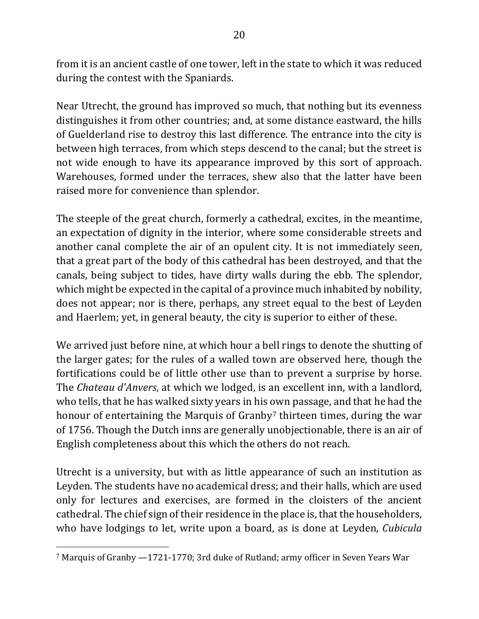from it is an ancient castle of one tower, left in the state to which it was reduced during the contest with the Spaniards.

Near Utrecht, the ground has improved so much, that nothing but its evenness distinguishes it from other countries; and, at some distance eastward, the hills of Guelderland rise to destroy this last difference. The entrance into the city is between high terraces, from which steps descend to the canal; but the street is not wide enough to have its appearance improved by this sort of approach. Warehouses, formed under the terraces, shew also that the latter have been raised more for convenience than splendor.

The steeple of the great church, formerly a cathedral, excites, in the meantime, an expectation of dignity in the interior, where some considerable streets and another canal complete the air of an opulent city. It is not immediately seen, that a great part of the body of this cathedral has been destroyed, and that the canals, being subject to tides, have dirty walls during the ebb. The splendor, which might be expected in the capital of a province much inhabited by nobility, does not appear; nor is there, perhaps, any street equal to the best of Leyden and Haerlem; yet, in general beauty, the city is superior to either of these.

We arrived just before nine, at which hour a bell rings to denote the shutting of the larger gates; for the rules of a walled town are observed here, though the fortifications could be of little other use than to prevent a surprise by horse. The *Chateau d'Anvers*, at which we lodged, is an excellent inn, with a landlord, who tells, that he has walked sixty years in his own passage, and that he had the honour of entertaining the Marquis of Granby<sup>7</sup> thirteen times, during the war of 1756. Though the Dutch inns are generally unobjectionable, there is an air of English completeness about this which the others do not reach.

Utrecht is a university, but with as little appearance of such an institution as Leyden. The students have no academical dress; and their halls, which are used only for lectures and exercises, are formed in the cloisters of the ancient cathedral. The chief sign of their residence in the place is, that the householders, who have lodgings to let, write upon a board, as is done at Leyden, *Cubicula* 

 $7$  Marquis of Granby  $-1721-1770$ ; 3rd duke of Rutland; army officer in Seven Years War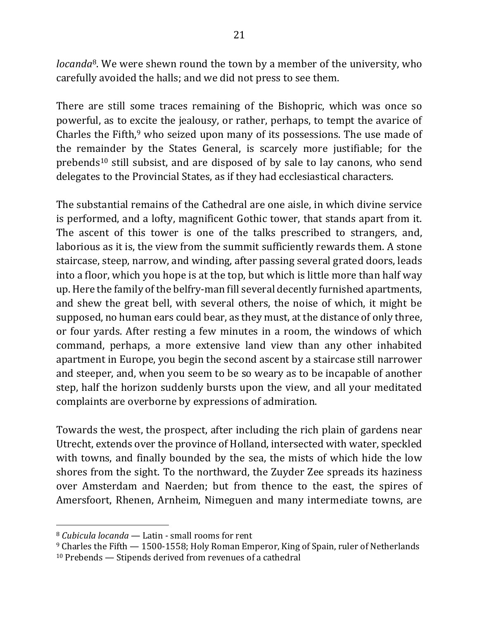*locanda*<sup>8</sup>. We were shewn round the town by a member of the university, who carefully avoided the halls; and we did not press to see them.

There are still some traces remaining of the Bishopric, which was once so powerful, as to excite the jealousy, or rather, perhaps, to tempt the avarice of Charles the Fifth, $9$  who seized upon many of its possessions. The use made of the remainder by the States General, is scarcely more justifiable; for the prebends<sup>10</sup> still subsist, and are disposed of by sale to lay canons, who send delegates to the Provincial States, as if they had ecclesiastical characters.

The substantial remains of the Cathedral are one aisle, in which divine service is performed, and a lofty, magnificent Gothic tower, that stands apart from it. The ascent of this tower is one of the talks prescribed to strangers, and, laborious as it is, the view from the summit sufficiently rewards them. A stone staircase, steep, narrow, and winding, after passing several grated doors, leads into a floor, which you hope is at the top, but which is little more than half way up. Here the family of the belfry-man fill several decently furnished apartments, and shew the great bell, with several others, the noise of which, it might be supposed, no human ears could bear, as they must, at the distance of only three, or four yards. After resting a few minutes in a room, the windows of which command, perhaps, a more extensive land view than any other inhabited apartment in Europe, you begin the second ascent by a staircase still narrower and steeper, and, when you seem to be so weary as to be incapable of another step, half the horizon suddenly bursts upon the view, and all your meditated complaints are overborne by expressions of admiration.

Towards the west, the prospect, after including the rich plain of gardens near Utrecht, extends over the province of Holland, intersected with water, speckled with towns, and finally bounded by the sea, the mists of which hide the low shores from the sight. To the northward, the Zuyder Zee spreads its haziness over Amsterdam and Naerden; but from thence to the east, the spires of Amersfoort, Rhenen, Arnheim, Nimeguen and many intermediate towns, are

<sup>&</sup>lt;sup>8</sup> *Cubicula locanda* — Latin - small rooms for rent

 $9$  Charles the Fifth  $- 1500 - 1558$ ; Holy Roman Emperor, King of Spain, ruler of Netherlands  $10$  Prebends  $-$  Stipends derived from revenues of a cathedral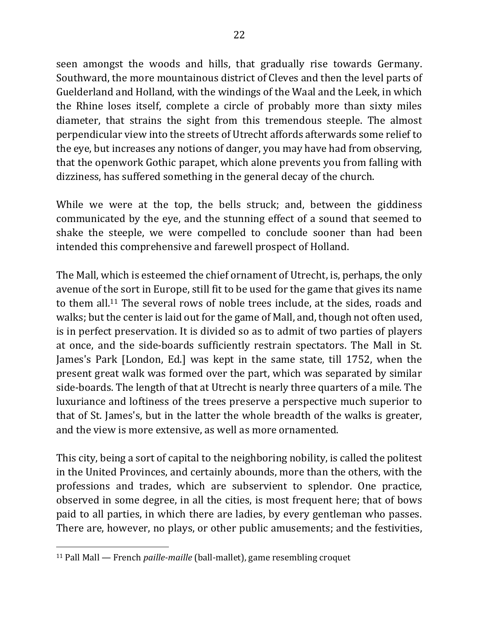seen amongst the woods and hills, that gradually rise towards Germany. Southward, the more mountainous district of Cleves and then the level parts of Guelderland and Holland, with the windings of the Waal and the Leek, in which the Rhine loses itself, complete a circle of probably more than sixty miles diameter, that strains the sight from this tremendous steeple. The almost perpendicular view into the streets of Utrecht affords afterwards some relief to the eye, but increases any notions of danger, you may have had from observing, that the openwork Gothic parapet, which alone prevents you from falling with dizziness, has suffered something in the general decay of the church.

While we were at the top, the bells struck; and, between the giddiness communicated by the eye, and the stunning effect of a sound that seemed to shake the steeple, we were compelled to conclude sooner than had been intended this comprehensive and farewell prospect of Holland.

The Mall, which is esteemed the chief ornament of Utrecht, is, perhaps, the only avenue of the sort in Europe, still fit to be used for the game that gives its name to them all.<sup>11</sup> The several rows of noble trees include, at the sides, roads and walks; but the center is laid out for the game of Mall, and, though not often used, is in perfect preservation. It is divided so as to admit of two parties of players at once, and the side-boards sufficiently restrain spectators. The Mall in St. James's Park [London, Ed.] was kept in the same state, till 1752, when the present great walk was formed over the part, which was separated by similar side-boards. The length of that at Utrecht is nearly three quarters of a mile. The luxuriance and loftiness of the trees preserve a perspective much superior to that of St. James's, but in the latter the whole breadth of the walks is greater, and the view is more extensive, as well as more ornamented.

This city, being a sort of capital to the neighboring nobility, is called the politest in the United Provinces, and certainly abounds, more than the others, with the professions and trades, which are subservient to splendor. One practice, observed in some degree, in all the cities, is most frequent here; that of bows paid to all parties, in which there are ladies, by every gentleman who passes. There are, however, no plays, or other public amusements; and the festivities,

<sup>&</sup>lt;sup>11</sup> Pall Mall — French *paille-maille* (ball-mallet), game resembling croquet